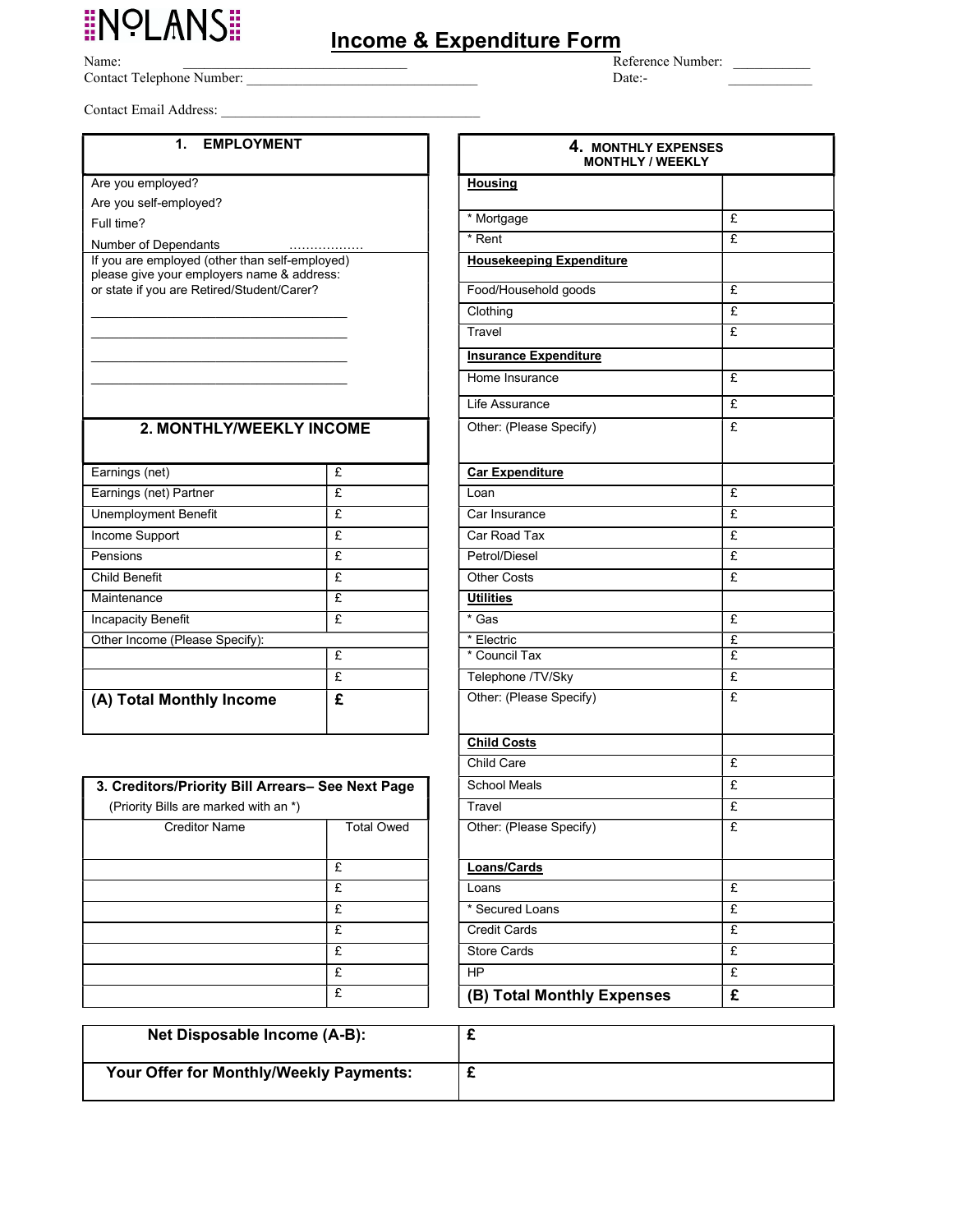# **INOLANS!**

Contact Telephone Number: \_\_\_\_\_\_\_\_\_\_\_\_\_\_\_\_\_\_\_\_\_\_\_\_\_\_\_\_\_\_\_\_\_ Date:- \_\_\_\_\_\_\_\_\_\_\_\_

Contact Email Address:

#### 1. EMPLOYMENT

Full time?

### 2. MONTHLY/WEEKLY INCOME

| Earnings (net)                 | £ | <b>Car Expenditure</b>  |   |
|--------------------------------|---|-------------------------|---|
| Earnings (net) Partner         | £ | Loan                    | £ |
| <b>Unemployment Benefit</b>    | £ | Car Insurance           | £ |
| Income Support                 | £ | Car Road Tax            | £ |
| Pensions                       | £ | Petrol/Diesel           | £ |
| Child Benefit                  | £ | <b>Other Costs</b>      | £ |
| Maintenance                    | £ | <b>Utilities</b>        |   |
| Incapacity Benefit             | £ | * Gas                   | £ |
| Other Income (Please Specify): |   | * Electric              | £ |
|                                | £ | * Council Tax           | £ |
|                                | £ | Telephone /TV/Sky       | £ |
| (A) Total Monthly Income       | £ | Other: (Please Specify) | £ |

| 3. Creditors/Priority Bill Arrears- See Next Page<br>School Meals<br>(Priority Bills are marked with an *)<br>Travel<br><b>Total Owed</b><br><b>Creditor Name</b><br>Other: (Please Specify)<br>£<br>Loans/Cards<br>£<br>Loans<br>£<br>* Secured Loans<br>£<br><b>Credit Cards</b><br>£<br><b>Store Cards</b><br>£<br><b>HP</b><br>£<br>(B) Total Monthly Expenses |  |   |
|--------------------------------------------------------------------------------------------------------------------------------------------------------------------------------------------------------------------------------------------------------------------------------------------------------------------------------------------------------------------|--|---|
|                                                                                                                                                                                                                                                                                                                                                                    |  | £ |
|                                                                                                                                                                                                                                                                                                                                                                    |  | £ |
|                                                                                                                                                                                                                                                                                                                                                                    |  | £ |
|                                                                                                                                                                                                                                                                                                                                                                    |  |   |
|                                                                                                                                                                                                                                                                                                                                                                    |  | £ |
|                                                                                                                                                                                                                                                                                                                                                                    |  | £ |
|                                                                                                                                                                                                                                                                                                                                                                    |  | £ |
|                                                                                                                                                                                                                                                                                                                                                                    |  | £ |
|                                                                                                                                                                                                                                                                                                                                                                    |  | £ |
|                                                                                                                                                                                                                                                                                                                                                                    |  | £ |

| 1. EMPLOYMENT                                                                                |              | 4. MONTHLY EXPENSES<br><b>MONTHLY / WEEKLY</b> |   |
|----------------------------------------------------------------------------------------------|--------------|------------------------------------------------|---|
| Are you employed?                                                                            |              | <b>Housing</b>                                 |   |
| Are you self-employed?                                                                       |              |                                                |   |
| Full time?                                                                                   |              | * Mortgage                                     | £ |
| Number of Dependants                                                                         |              | * Rent                                         | £ |
| If you are employed (other than self-employed)<br>please give your employers name & address: |              | <b>Housekeeping Expenditure</b>                |   |
| or state if you are Retired/Student/Carer?                                                   |              | Food/Household goods                           | £ |
|                                                                                              |              | Clothing                                       | £ |
|                                                                                              |              | Travel                                         | £ |
|                                                                                              |              | <b>Insurance Expenditure</b>                   |   |
|                                                                                              |              | Home Insurance                                 | £ |
|                                                                                              |              | Life Assurance                                 | £ |
| 2. MONTHLY/WEEKLY INCOME                                                                     |              | Other: (Please Specify)                        | £ |
| Earnings (net)                                                                               | £            | <b>Car Expenditure</b>                         |   |
| Earnings (net) Partner                                                                       | £            | Loan                                           | £ |
| Unemployment Benefit                                                                         | £            | Car Insurance                                  | £ |
| Income Support                                                                               | £            | Car Road Tax                                   | £ |
| Pensions                                                                                     | £            | Petrol/Diesel                                  | £ |
| <b>Child Benefit</b>                                                                         | £            | <b>Other Costs</b>                             | £ |
| Maintenance                                                                                  | £            | <b>Utilities</b>                               |   |
| <b>Incapacity Benefit</b>                                                                    | £            | * Gas                                          | £ |
| Other Income (Please Specify):                                                               |              | * Electric                                     | £ |
|                                                                                              | £            | * Council Tax                                  | £ |
|                                                                                              | £            | Telephone /TV/Sky                              | £ |
| (A) Total Monthly Income                                                                     | £            | Other: (Please Specify)                        | £ |
|                                                                                              |              | <b>Child Costs</b>                             |   |
|                                                                                              |              | Child Care                                     | £ |
| 3. Creditors/Priority Bill Arrears- See Next Page                                            |              | <b>School Meals</b>                            | £ |
| (Priority Bills are marked with an *)                                                        |              | Travel                                         | £ |
| <b>Creditor Name</b>                                                                         | Total Owed   | Other: (Please Specify)                        | £ |
|                                                                                              | £            | Loans/Cards                                    |   |
|                                                                                              | £            | Loans                                          | £ |
|                                                                                              | $\mathbf{f}$ | * Secured Loans                                | £ |
|                                                                                              | £            | <b>Credit Cards</b>                            | £ |
|                                                                                              | £            | <b>Store Cards</b>                             | £ |
|                                                                                              | £            | <b>HP</b>                                      | £ |
|                                                                                              | £            | (B) Total Monthly Expenses                     | £ |

| Net Disposable Income (A-B):            |  |
|-----------------------------------------|--|
| Your Offer for Monthly/Weekly Payments: |  |

## Income & Expenditure Form Name: \_\_\_\_\_\_\_\_\_\_\_\_\_\_\_\_\_\_\_\_\_\_\_\_\_\_\_\_\_\_\_\_ Reference Number: \_\_\_\_\_\_\_\_\_\_\_